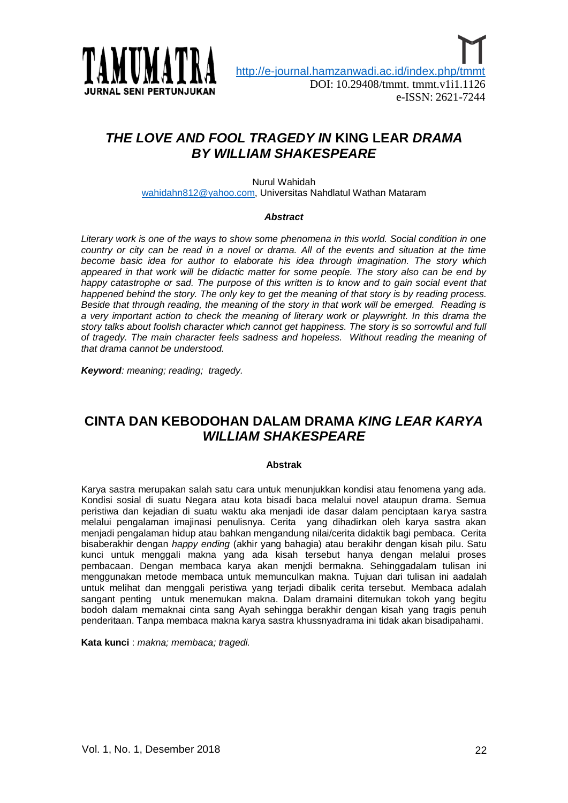

# *THE LOVE AND FOOL TRAGEDY IN* **KING LEAR** *DRAMA BY WILLIAM SHAKESPEARE*

Nurul Wahidah [wahidahn812@yahoo.com,](mailto:wahidahn812@yahoo.com) Universitas Nahdlatul Wathan Mataram

#### *Abstract*

*Literary work is one of the ways to show some phenomena in this world. Social condition in one*  country or city can be read in a novel or drama. All of the events and situation at the time *become basic idea for author to elaborate his idea through imagination. The story which appeared in that work will be didactic matter for some people. The story also can be end by happy catastrophe or sad. The purpose of this written is to know and to gain social event that happened behind the story. The only key to get the meaning of that story is by reading process. Beside that through reading, the meaning of the story in that work will be emerged. Reading is a very important action to check the meaning of literary work or playwright. In this drama the story talks about foolish character which cannot get happiness. The story is so sorrowful and full of tragedy. The main character feels sadness and hopeless. Without reading the meaning of that drama cannot be understood.* 

*Keyword: meaning; reading; tragedy.*

## **CINTA DAN KEBODOHAN DALAM DRAMA** *KING LEAR KARYA WILLIAM SHAKESPEARE*

#### **Abstrak**

Karya sastra merupakan salah satu cara untuk menunjukkan kondisi atau fenomena yang ada. Kondisi sosial di suatu Negara atau kota bisadi baca melalui novel ataupun drama. Semua peristiwa dan kejadian di suatu waktu aka menjadi ide dasar dalam penciptaan karya sastra melalui pengalaman imajinasi penulisnya. Cerita yang dihadirkan oleh karya sastra akan menjadi pengalaman hidup atau bahkan mengandung nilai/cerita didaktik bagi pembaca. Cerita bisaberakhir dengan *happy ending* (akhir yang bahagia) atau berakihr dengan kisah pilu. Satu kunci untuk menggali makna yang ada kisah tersebut hanya dengan melalui proses pembacaan. Dengan membaca karya akan menjdi bermakna. Sehinggadalam tulisan ini menggunakan metode membaca untuk memunculkan makna. Tujuan dari tulisan ini aadalah untuk melihat dan menggali peristiwa yang terjadi dibalik cerita tersebut. Membaca adalah sangant penting untuk menemukan makna. Dalam dramaini ditemukan tokoh yang begitu bodoh dalam memaknai cinta sang Ayah sehingga berakhir dengan kisah yang tragis penuh penderitaan. Tanpa membaca makna karya sastra khussnyadrama ini tidak akan bisadipahami.

**Kata kunci** : *makna; membaca; tragedi.*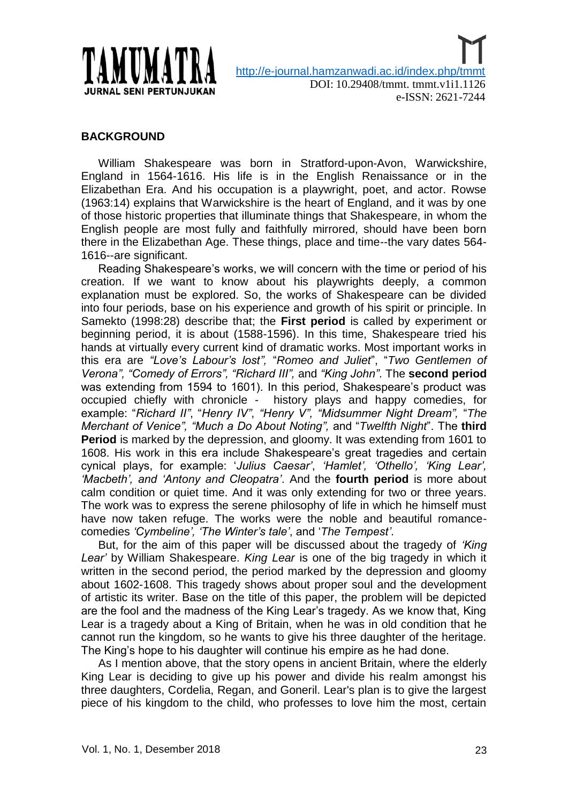

## **BACKGROUND**

William Shakespeare was born in [Stratford-upon-Avon,](http://en.wikipedia.org/wiki/Stratford-upon-Avon) Warwickshire, [England](http://en.wikipedia.org/wiki/Kingdom_of_England) in 1564-1616. His life is in the English Renaissance or in the Elizabethan Era. And his occupation is a playwright, poet, and actor. Rowse (1963:14) explains that Warwickshire is the heart of England, and it was by one of those historic properties that illuminate things that Shakespeare, in whom the English people are most fully and faithfully mirrored, should have been born there in the Elizabethan Age. These things, place and time--the vary dates 564- 1616--are significant.

Reading Shakespeare"s works, we will concern with the time or period of his creation. If we want to know about his playwrights deeply, a common explanation must be explored. So, the works of Shakespeare can be divided into four periods, base on his experience and growth of his spirit or principle. In Samekto (1998:28) describe that; the **First period** is called by experiment or beginning period, it is about (1588-1596). In this time, Shakespeare tried his hands at virtually every current kind of dramatic works. Most important works in this era are *"Love"s Labour"s lost",* "*Romeo and Juliet*", "*Two Gentlemen of Verona", "Comedy of Errors", "Richard III",* and *"King John"*. The **second period** was extending from 1594 to 1601). In this period, Shakespeare's product was occupied chiefly with chronicle - history plays and happy comedies, for example: "*Richard II"*, "*Henry IV"*, *"Henry V", "Midsummer Night Dream",* "*The Merchant of Venice", "Much a Do About Noting",* and "*Twelfth Night*". The **third Period** is marked by the depression, and gloomy. It was extending from 1601 to 1608. His work in this era include Shakespeare"s great tragedies and certain cynical plays, for example: "*Julius Caesar"*, *"Hamlet", "Othello", "King Lear", "Macbeth", and "Antony and Cleopatra"*. And the **fourth period** is more about calm condition or quiet time. And it was only extending for two or three years. The work was to express the serene philosophy of life in which he himself must have now taken refuge. The works were the noble and beautiful romancecomedies *"Cymbeline", "The Winter"s tale"*, and "*The Tempest"*.

But, for the aim of this paper will be discussed about the tragedy of *"King Lear"* by William Shakespeare. *King Lear* is one of the big tragedy in which it written in the second period, the period marked by the depression and gloomy about 1602-1608. This tragedy shows about proper soul and the development of artistic its writer. Base on the title of this paper, the problem will be depicted are the fool and the madness of the King Lear"s tragedy. As we know that, King Lear is a tragedy about a King of Britain, when he was in old condition that he cannot run the kingdom, so he wants to give his three daughter of the heritage. The King"s hope to his daughter will continue his empire as he had done.

As I mention above, that the story opens in ancient Britain, where the elderly King Lear is deciding to give up his power and divide his realm amongst his three daughters, Cordelia, Regan, and Goneril. Lear's plan is to give the largest piece of his kingdom to the child, who professes to love him the most, certain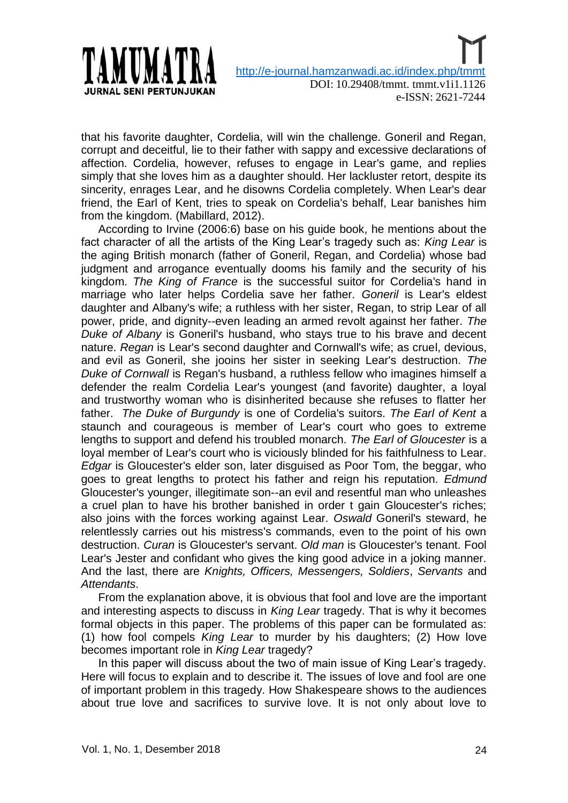

that his favorite daughter, Cordelia, will win the challenge. Goneril and Regan, corrupt and deceitful, lie to their father with sappy and excessive declarations of affection. Cordelia, however, refuses to engage in Lear's game, and replies simply that she loves him as a daughter should. Her lackluster retort, despite its sincerity, enrages Lear, and he disowns Cordelia completely. When Lear's dear friend, the Earl of Kent, tries to speak on Cordelia's behalf, Lear banishes him from the kingdom. (Mabillard, 2012).

According to Irvine (2006:6) base on his guide book, he mentions about the fact character of all the artists of the King Lear"s tragedy such as: *King Lear* is the aging British monarch (father of Goneril, Regan, and Cordelia) whose bad judgment and arrogance eventually dooms his family and the security of his kingdom. *The King of France* is the successful suitor for Cordelia's hand in marriage who later helps Cordelia save her father. *Goneril* is Lear's eldest daughter and Albany's wife; a ruthless with her sister, Regan, to strip Lear of all power, pride, and dignity--even leading an armed revolt against her father. *The Duke of Albany* is Goneril's husband, who stays true to his brave and decent nature. *Regan* is Lear's second daughter and Cornwall's wife; as cruel, devious, and evil as Goneril, she jooins her sister in seeking Lear's destruction. *The Duke of Cornwall* is Regan's husband, a ruthless fellow who imagines himself a defender the realm Cordelia Lear's youngest (and favorite) daughter, a loyal and trustworthy woman who is disinherited because she refuses to flatter her father. *The Duke of Burgundy* is one of Cordelia's suitors. *The Earl of Kent* a staunch and courageous is member of Lear's court who goes to extreme lengths to support and defend his troubled monarch. *The Earl of Gloucester* is a loyal member of Lear's court who is viciously blinded for his faithfulness to Lear. *Edgar* is Gloucester's elder son, later disguised as Poor Tom, the beggar, who goes to great lengths to protect his father and reign his reputation. *Edmund*  Gloucester's younger, illegitimate son--an evil and resentful man who unleashes a cruel plan to have his brother banished in order t gain Gloucester's riches; also joins with the forces working against Lear. *Oswald* Goneril's steward, he relentlessly carries out his mistress's commands, even to the point of his own destruction. *Curan* is Gloucester's servant. *Old man* is Gloucester's tenant. Fool Lear's Jester and confidant who gives the king good advice in a joking manner. And the last, there are *Knights, Officers, Messengers, Soldiers*, *Servants* and *Attendants*.

From the explanation above, it is obvious that fool and love are the important and interesting aspects to discuss in *King Lear* tragedy. That is why it becomes formal objects in this paper. The problems of this paper can be formulated as: (1) how fool compels *King Lear* to murder by his daughters; (2) How love becomes important role in *King Lear* tragedy?

In this paper will discuss about the two of main issue of King Lear"s tragedy. Here will focus to explain and to describe it. The issues of love and fool are one of important problem in this tragedy. How Shakespeare shows to the audiences about true love and sacrifices to survive love. It is not only about love to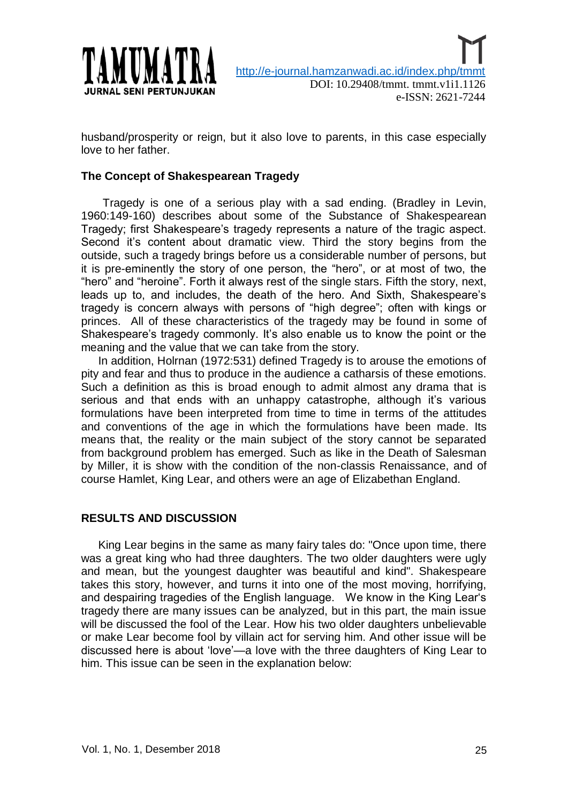

husband/prosperity or reign, but it also love to parents, in this case especially love to her father.

### **The Concept of Shakespearean Tragedy**

Tragedy is one of a serious play with a sad ending. (Bradley in Levin, 1960:149-160) describes about some of the Substance of Shakespearean Tragedy; first Shakespeare"s tragedy represents a nature of the tragic aspect. Second it's content about dramatic view. Third the story begins from the outside, such a tragedy brings before us a considerable number of persons, but it is pre-eminently the story of one person, the "hero", or at most of two, the "hero" and "heroine". Forth it always rest of the single stars. Fifth the story, next, leads up to, and includes, the death of the hero. And Sixth, Shakespeare"s tragedy is concern always with persons of "high degree"; often with kings or princes. All of these characteristics of the tragedy may be found in some of Shakespeare's tragedy commonly. It's also enable us to know the point or the meaning and the value that we can take from the story.

In addition, Holrnan (1972:531) defined Tragedy is to arouse the emotions of pity and fear and thus to produce in the audience a catharsis of these emotions. Such a definition as this is broad enough to admit almost any drama that is serious and that ends with an unhappy catastrophe, although it's various formulations have been interpreted from time to time in terms of the attitudes and conventions of the age in which the formulations have been made. Its means that, the reality or the main subject of the story cannot be separated from background problem has emerged. Such as like in the Death of Salesman by Miller, it is show with the condition of the non-classis Renaissance, and of course Hamlet, King Lear, and others were an age of Elizabethan England.

### **RESULTS AND DISCUSSION**

King Lear begins in the same as many fairy tales do: "Once upon time, there was a great king who had three daughters. The two older daughters were ugly and mean, but the youngest daughter was beautiful and kind". Shakespeare takes this story, however, and turns it into one of the most moving, horrifying, and despairing tragedies of the English language. We know in the King Lear"s tragedy there are many issues can be analyzed, but in this part, the main issue will be discussed the fool of the Lear. How his two older daughters unbelievable or make Lear become fool by villain act for serving him. And other issue will be discussed here is about "love"—a love with the three daughters of King Lear to him. This issue can be seen in the explanation below: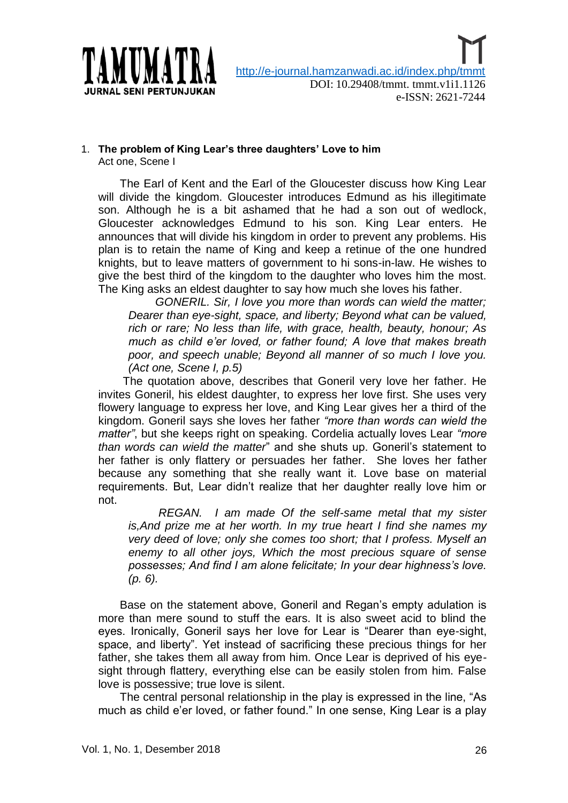

#### 1. **The problem of King Lear's three daughters' Love to him** Act one, Scene I

The Earl of Kent and the Earl of the Gloucester discuss how King Lear will divide the kingdom. Gloucester introduces Edmund as his illegitimate son. Although he is a bit ashamed that he had a son out of wedlock, Gloucester acknowledges Edmund to his son. King Lear enters. He announces that will divide his kingdom in order to prevent any problems. His plan is to retain the name of King and keep a retinue of the one hundred knights, but to leave matters of government to hi sons-in-law. He wishes to give the best third of the kingdom to the daughter who loves him the most. The King asks an eldest daughter to say how much she loves his father.

*GONERIL. Sir, I love you more than words can wield the matter; Dearer than eye-sight, space, and liberty; Beyond what can be valued, rich or rare; No less than life, with grace, health, beauty, honour; As much as child e"er loved, or father found; A love that makes breath poor, and speech unable; Beyond all manner of so much I love you. (Act one, Scene I, p.5)* 

The quotation above, describes that Goneril very love her father. He invites Goneril, his eldest daughter, to express her love first. She uses very flowery language to express her love, and King Lear gives her a third of the kingdom. Goneril says she loves her father *"more than words can wield the matter"*, but she keeps right on speaking. Cordelia actually loves Lear *"more than words can wield the matter*" and she shuts up. Goneril"s statement to her father is only flattery or persuades her father. She loves her father because any something that she really want it. Love base on material requirements. But, Lear didn"t realize that her daughter really love him or not.

*REGAN. I am made Of the self-same metal that my sister is,And prize me at her worth. In my true heart I find she names my very deed of love; only she comes too short; that I profess. Myself an enemy to all other joys, Which the most precious square of sense possesses; And find I am alone felicitate; In your dear highness"s love. (p. 6).* 

Base on the statement above, Goneril and Regan"s empty adulation is more than mere sound to stuff the ears. It is also sweet acid to blind the eyes. Ironically, Goneril says her love for Lear is "Dearer than eye-sight, space, and liberty". Yet instead of sacrificing these precious things for her father, she takes them all away from him. Once Lear is deprived of his eyesight through flattery, everything else can be easily stolen from him. False love is possessive; true love is silent.

The central personal relationship in the play is expressed in the line, "As much as child e"er loved, or father found." In one sense, King Lear is a play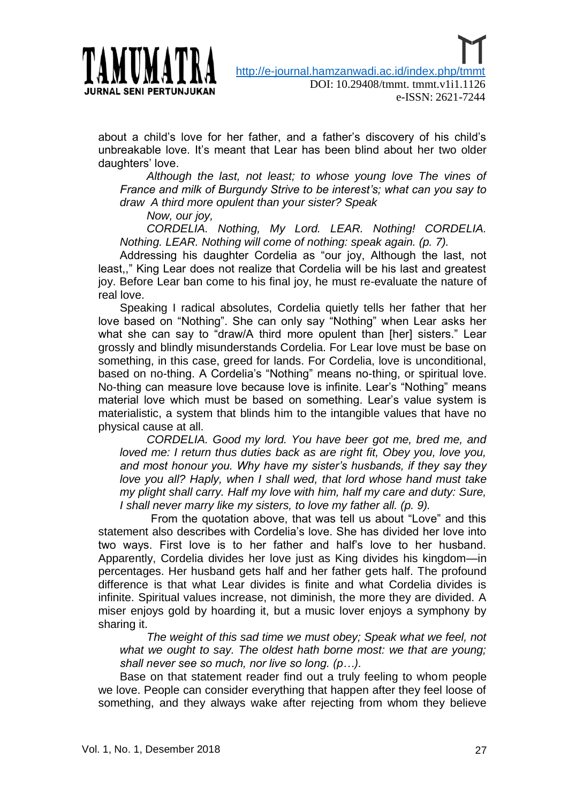

about a child"s love for her father, and a father"s discovery of his child"s unbreakable love. It"s meant that Lear has been blind about her two older daughters' love.

*Although the last, not least; to whose young love The vines of France and milk of Burgundy Strive to be interest"s; what can you say to draw A third more opulent than your sister? Speak*

*Now, our joy,*

*CORDELIA. Nothing, My Lord. LEAR. Nothing! CORDELIA. Nothing. LEAR. Nothing will come of nothing: speak again. (p. 7).* 

Addressing his daughter Cordelia as "our joy, Although the last, not least,," King Lear does not realize that Cordelia will be his last and greatest joy. Before Lear ban come to his final joy, he must re-evaluate the nature of real love.

Speaking I radical absolutes, Cordelia quietly tells her father that her love based on "Nothing". She can only say "Nothing" when Lear asks her what she can say to "draw/A third more opulent than [her] sisters." Lear grossly and blindly misunderstands Cordelia. For Lear love must be base on something, in this case, greed for lands. For Cordelia, love is unconditional, based on no-thing. A Cordelia's "Nothing" means no-thing, or spiritual love. No-thing can measure love because love is infinite. Lear"s "Nothing" means material love which must be based on something. Lear"s value system is materialistic, a system that blinds him to the intangible values that have no physical cause at all.

*CORDELIA. Good my lord. You have beer got me, bred me, and loved me: I return thus duties back as are right fit, Obey you, love you, and most honour you. Why have my sister"s husbands, if they say they love you all? Haply, when I shall wed, that lord whose hand must take my plight shall carry. Half my love with him, half my care and duty: Sure, I shall never marry like my sisters, to love my father all. (p. 9).* 

 From the quotation above, that was tell us about "Love" and this statement also describes with Cordelia's love. She has divided her love into two ways. First love is to her father and half"s love to her husband. Apparently, Cordelia divides her love just as King divides his kingdom—in percentages. Her husband gets half and her father gets half. The profound difference is that what Lear divides is finite and what Cordelia divides is infinite. Spiritual values increase, not diminish, the more they are divided. A miser enjoys gold by hoarding it, but a music lover enjoys a symphony by sharing it.

*The weight of this sad time we must obey; Speak what we feel, not what we ought to say. The oldest hath borne most: we that are young; shall never see so much, nor live so long. (p…).* 

Base on that statement reader find out a truly feeling to whom people we love. People can consider everything that happen after they feel loose of something, and they always wake after rejecting from whom they believe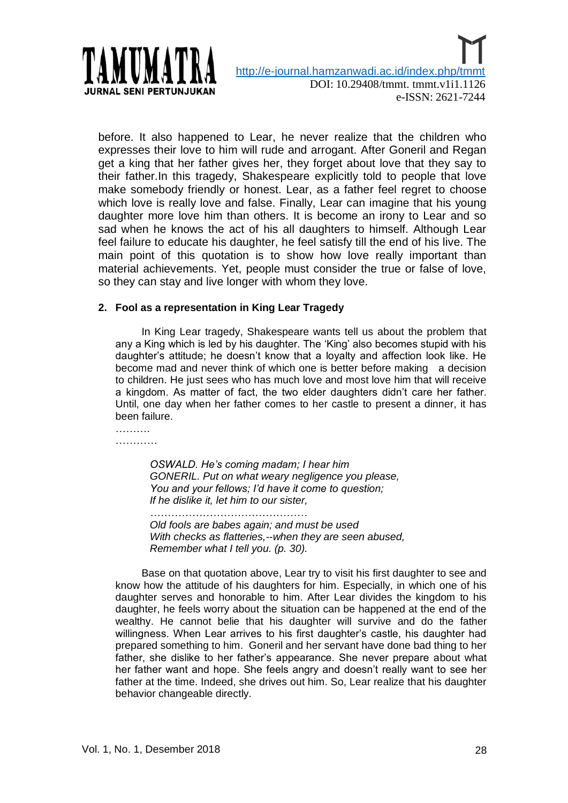

before. It also happened to Lear, he never realize that the children who expresses their love to him will rude and arrogant. After Goneril and Regan get a king that her father gives her, they forget about love that they say to their father.In this tragedy, Shakespeare explicitly told to people that love make somebody friendly or honest. Lear, as a father feel regret to choose which love is really love and false. Finally, Lear can imagine that his young daughter more love him than others. It is become an irony to Lear and so sad when he knows the act of his all daughters to himself. Although Lear feel failure to educate his daughter, he feel satisfy till the end of his live. The main point of this quotation is to show how love really important than material achievements. Yet, people must consider the true or false of love, so they can stay and live longer with whom they love.

#### **2. Fool as a representation in King Lear Tragedy**

 In King Lear tragedy, Shakespeare wants tell us about the problem that any a King which is led by his daughter. The "King" also becomes stupid with his daughter"s attitude; he doesn"t know that a loyalty and affection look like. He become mad and never think of which one is better before making a decision to children. He just sees who has much love and most love him that will receive a kingdom. As matter of fact, the two elder daughters didn"t care her father. Until, one day when her father comes to her castle to present a dinner, it has been failure.

………. ……………

> *OSWALD. He"s coming madam; I hear him GONERIL. Put on what weary negligence you please, You and your fellows; I"d have it come to question; If he dislike it, let him to our sister,*

*……………………………………… Old fools are babes again; and must be used With checks as flatteries,--when they are seen abused, Remember what I tell you. (p. 30).* 

 Base on that quotation above, Lear try to visit his first daughter to see and know how the attitude of his daughters for him. Especially, in which one of his daughter serves and honorable to him. After Lear divides the kingdom to his daughter, he feels worry about the situation can be happened at the end of the wealthy. He cannot belie that his daughter will survive and do the father willingness. When Lear arrives to his first daughter"s castle, his daughter had prepared something to him. Goneril and her servant have done bad thing to her father, she dislike to her father"s appearance. She never prepare about what her father want and hope. She feels angry and doesn"t really want to see her father at the time. Indeed, she drives out him. So, Lear realize that his daughter behavior changeable directly.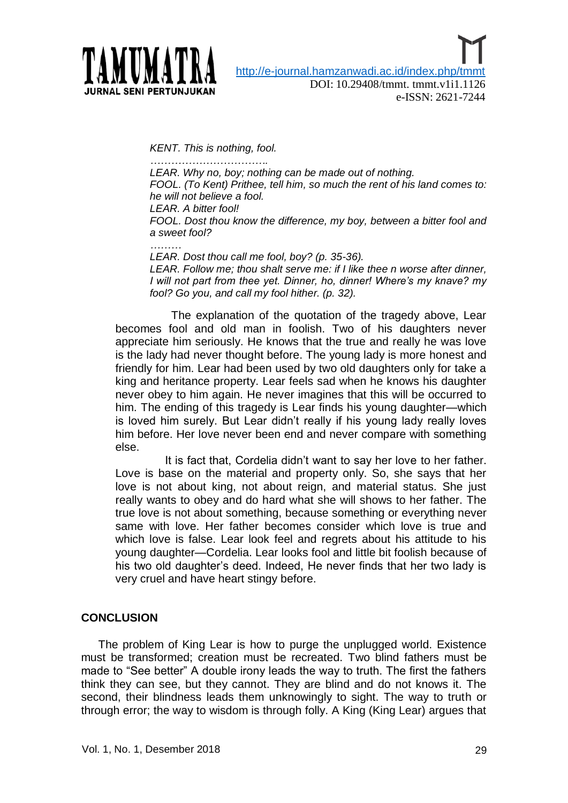

e-ISSN: 2621-7244

*KENT. This is nothing, fool.*

*……………………………. LEAR. Why no, boy; nothing can be made out of nothing. FOOL. (To Kent) Prithee, tell him, so much the rent of his land comes to: he will not believe a fool. LEAR. A bitter fool! FOOL. Dost thou know the difference, my boy, between a bitter fool and a sweet fool?*

*………*

*LEAR. Dost thou call me fool, boy? (p. 35-36).* 

*LEAR. Follow me; thou shalt serve me: if I like thee n worse after dinner, I will not part from thee yet. Dinner, ho, dinner! Where"s my knave? my fool? Go you, and call my fool hither. (p. 32).*

 The explanation of the quotation of the tragedy above, Lear becomes fool and old man in foolish. Two of his daughters never appreciate him seriously. He knows that the true and really he was love is the lady had never thought before. The young lady is more honest and friendly for him. Lear had been used by two old daughters only for take a king and heritance property. Lear feels sad when he knows his daughter never obey to him again. He never imagines that this will be occurred to him. The ending of this tragedy is Lear finds his young daughter—which is loved him surely. But Lear didn"t really if his young lady really loves him before. Her love never been end and never compare with something else.

 It is fact that, Cordelia didn"t want to say her love to her father. Love is base on the material and property only. So, she says that her love is not about king, not about reign, and material status. She just really wants to obey and do hard what she will shows to her father. The true love is not about something, because something or everything never same with love. Her father becomes consider which love is true and which love is false. Lear look feel and regrets about his attitude to his young daughter—Cordelia. Lear looks fool and little bit foolish because of his two old daughter"s deed. Indeed, He never finds that her two lady is very cruel and have heart stingy before.

### **CONCLUSION**

The problem of King Lear is how to purge the unplugged world. Existence must be transformed; creation must be recreated. Two blind fathers must be made to "See better" A double irony leads the way to truth. The first the fathers think they can see, but they cannot. They are blind and do not knows it. The second, their blindness leads them unknowingly to sight. The way to truth or through error; the way to wisdom is through folly. A King (King Lear) argues that